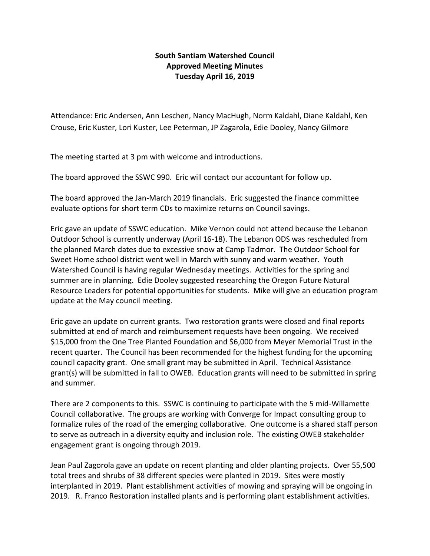## **South Santiam Watershed Council Approved Meeting Minutes Tuesday April 16, 2019**

Attendance: Eric Andersen, Ann Leschen, Nancy MacHugh, Norm Kaldahl, Diane Kaldahl, Ken Crouse, Eric Kuster, Lori Kuster, Lee Peterman, JP Zagarola, Edie Dooley, Nancy Gilmore

The meeting started at 3 pm with welcome and introductions.

The board approved the SSWC 990. Eric will contact our accountant for follow up.

The board approved the Jan-March 2019 financials. Eric suggested the finance committee evaluate options for short term CDs to maximize returns on Council savings.

Eric gave an update of SSWC education. Mike Vernon could not attend because the Lebanon Outdoor School is currently underway (April 16-18). The Lebanon ODS was rescheduled from the planned March dates due to excessive snow at Camp Tadmor. The Outdoor School for Sweet Home school district went well in March with sunny and warm weather. Youth Watershed Council is having regular Wednesday meetings. Activities for the spring and summer are in planning. Edie Dooley suggested researching the Oregon Future Natural Resource Leaders for potential opportunities for students. Mike will give an education program update at the May council meeting.

Eric gave an update on current grants. Two restoration grants were closed and final reports submitted at end of march and reimbursement requests have been ongoing. We received \$15,000 from the One Tree Planted Foundation and \$6,000 from Meyer Memorial Trust in the recent quarter. The Council has been recommended for the highest funding for the upcoming council capacity grant. One small grant may be submitted in April. Technical Assistance grant(s) will be submitted in fall to OWEB. Education grants will need to be submitted in spring and summer.

There are 2 components to this. SSWC is continuing to participate with the 5 mid-Willamette Council collaborative. The groups are working with Converge for Impact consulting group to formalize rules of the road of the emerging collaborative. One outcome is a shared staff person to serve as outreach in a diversity equity and inclusion role. The existing OWEB stakeholder engagement grant is ongoing through 2019.

Jean Paul Zagorola gave an update on recent planting and older planting projects. Over 55,500 total trees and shrubs of 38 different species were planted in 2019. Sites were mostly interplanted in 2019. Plant establishment activities of mowing and spraying will be ongoing in 2019. R. Franco Restoration installed plants and is performing plant establishment activities.